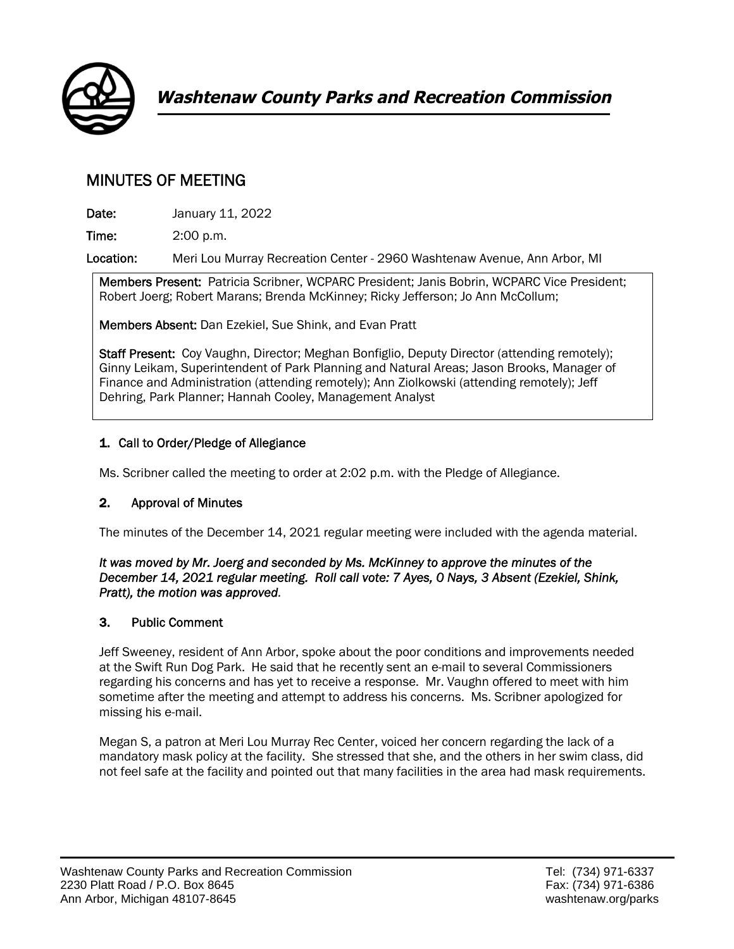

# MINUTES OF MEETING

**Date: January 11, 2022** 

Time: 2:00 p.m.

Location: Meri Lou Murray Recreation Center - 2960 Washtenaw Avenue, Ann Arbor, MI

Members Present: Patricia Scribner, WCPARC President; Janis Bobrin, WCPARC Vice President; Robert Joerg; Robert Marans; Brenda McKinney; Ricky Jefferson; Jo Ann McCollum;

Members Absent: Dan Ezekiel, Sue Shink, and Evan Pratt

Staff Present: Coy Vaughn, Director; Meghan Bonfiglio, Deputy Director (attending remotely); Ginny Leikam, Superintendent of Park Planning and Natural Areas; Jason Brooks, Manager of Finance and Administration (attending remotely); Ann Ziolkowski (attending remotely); Jeff Dehring, Park Planner; Hannah Cooley, Management Analyst

## 1. Call to Order/Pledge of Allegiance

Ms. Scribner called the meeting to order at 2:02 p.m. with the Pledge of Allegiance.

#### 2. Approval of Minutes

The minutes of the December 14, 2021 regular meeting were included with the agenda material.

#### *It was moved by Mr. Joerg and seconded by Ms. McKinney to approve the minutes of the December 14, 2021 regular meeting. Roll call vote: 7 Ayes, 0 Nays, 3 Absent (Ezekiel, Shink, Pratt), the motion was approved.*

# 3. Public Comment

Jeff Sweeney, resident of Ann Arbor, spoke about the poor conditions and improvements needed at the Swift Run Dog Park. He said that he recently sent an e-mail to several Commissioners regarding his concerns and has yet to receive a response. Mr. Vaughn offered to meet with him sometime after the meeting and attempt to address his concerns. Ms. Scribner apologized for missing his e-mail.

Megan S, a patron at Meri Lou Murray Rec Center, voiced her concern regarding the lack of a mandatory mask policy at the facility. She stressed that she, and the others in her swim class, did not feel safe at the facility and pointed out that many facilities in the area had mask requirements.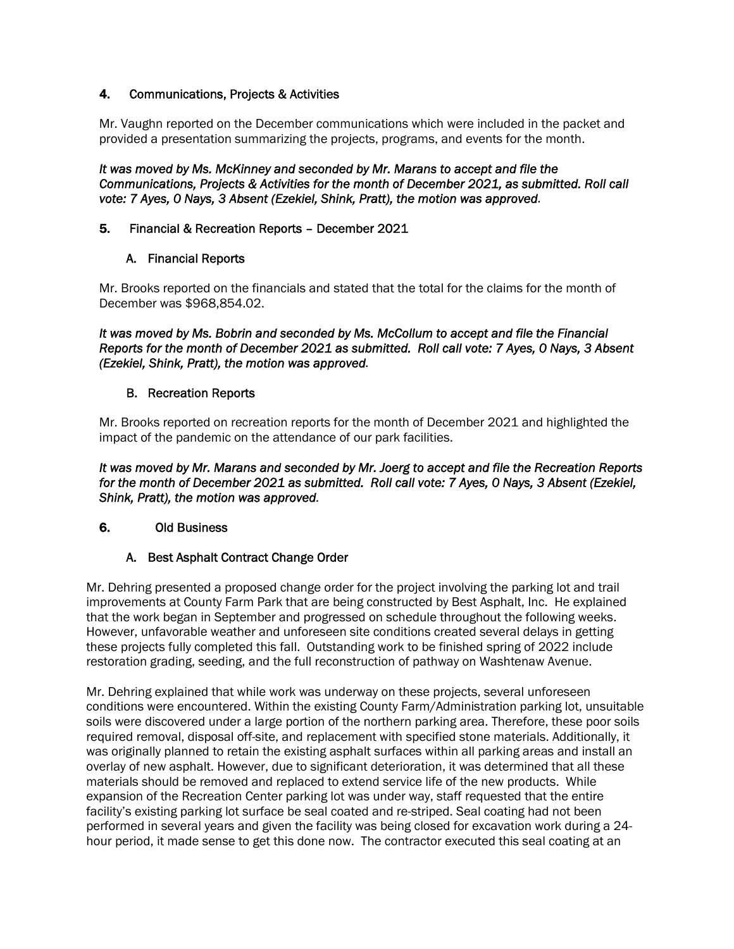#### 4. Communications, Projects & Activities

Mr. Vaughn reported on the December communications which were included in the packet and provided a presentation summarizing the projects, programs, and events for the month.

*It was moved by Ms. McKinney and seconded by Mr. Marans to accept and file the Communications, Projects & Activities for the month of December 2021, as submitted. Roll call vote: 7 Ayes, 0 Nays, 3 Absent (Ezekiel, Shink, Pratt), the motion was approved.* 

#### 5. Financial & Recreation Reports – December 2021

#### A. Financial Reports

Mr. Brooks reported on the financials and stated that the total for the claims for the month of December was \$968,854.02.

*It was moved by Ms. Bobrin and seconded by Ms. McCollum to accept and file the Financial Reports for the month of December 2021 as submitted. Roll call vote: 7 Ayes, 0 Nays, 3 Absent (Ezekiel, Shink, Pratt), the motion was approved.* 

#### B. Recreation Reports

Mr. Brooks reported on recreation reports for the month of December 2021 and highlighted the impact of the pandemic on the attendance of our park facilities.

*It was moved by Mr. Marans and seconded by Mr. Joerg to accept and file the Recreation Reports for the month of December 2021 as submitted. Roll call vote: 7 Ayes, 0 Nays, 3 Absent (Ezekiel, Shink, Pratt), the motion was approved.* 

#### 6. Old Business

#### A. Best Asphalt Contract Change Order

Mr. Dehring presented a proposed change order for the project involving the parking lot and trail improvements at County Farm Park that are being constructed by Best Asphalt, Inc. He explained that the work began in September and progressed on schedule throughout the following weeks. However, unfavorable weather and unforeseen site conditions created several delays in getting these projects fully completed this fall. Outstanding work to be finished spring of 2022 include restoration grading, seeding, and the full reconstruction of pathway on Washtenaw Avenue.

Mr. Dehring explained that while work was underway on these projects, several unforeseen conditions were encountered. Within the existing County Farm/Administration parking lot, unsuitable soils were discovered under a large portion of the northern parking area. Therefore, these poor soils required removal, disposal off-site, and replacement with specified stone materials. Additionally, it was originally planned to retain the existing asphalt surfaces within all parking areas and install an overlay of new asphalt. However, due to significant deterioration, it was determined that all these materials should be removed and replaced to extend service life of the new products. While expansion of the Recreation Center parking lot was under way, staff requested that the entire facility's existing parking lot surface be seal coated and re-striped. Seal coating had not been performed in several years and given the facility was being closed for excavation work during a 24 hour period, it made sense to get this done now. The contractor executed this seal coating at an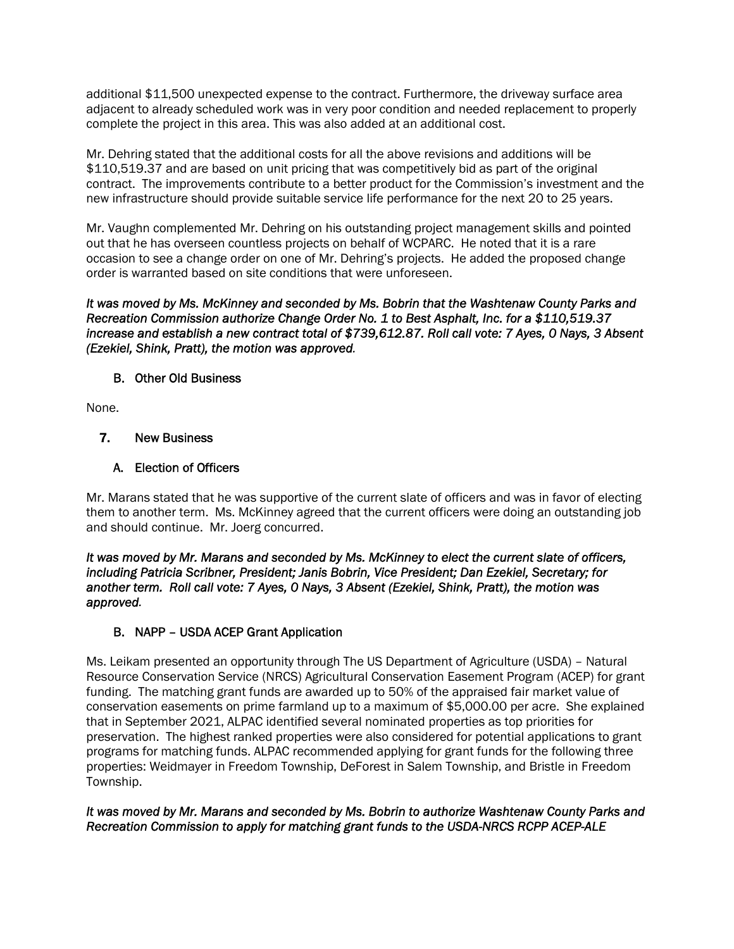additional \$11,500 unexpected expense to the contract. Furthermore, the driveway surface area adjacent to already scheduled work was in very poor condition and needed replacement to properly complete the project in this area. This was also added at an additional cost.

Mr. Dehring stated that the additional costs for all the above revisions and additions will be \$110,519.37 and are based on unit pricing that was competitively bid as part of the original contract. The improvements contribute to a better product for the Commission's investment and the new infrastructure should provide suitable service life performance for the next 20 to 25 years.

Mr. Vaughn complemented Mr. Dehring on his outstanding project management skills and pointed out that he has overseen countless projects on behalf of WCPARC. He noted that it is a rare occasion to see a change order on one of Mr. Dehring's projects. He added the proposed change order is warranted based on site conditions that were unforeseen.

*It was moved by Ms. McKinney and seconded by Ms. Bobrin that the Washtenaw County Parks and Recreation Commission authorize Change Order No. 1 to Best Asphalt, Inc. for a \$110,519.37 increase and establish a new contract total of \$739,612.87. Roll call vote: 7 Ayes, 0 Nays, 3 Absent (Ezekiel, Shink, Pratt), the motion was approved.* 

#### B. Other Old Business

None.

## 7. New Business

## A. Election of Officers

Mr. Marans stated that he was supportive of the current slate of officers and was in favor of electing them to another term. Ms. McKinney agreed that the current officers were doing an outstanding job and should continue. Mr. Joerg concurred.

*It was moved by Mr. Marans and seconded by Ms. McKinney to elect the current slate of officers, including Patricia Scribner, President; Janis Bobrin, Vice President; Dan Ezekiel, Secretary; for another term. Roll call vote: 7 Ayes, 0 Nays, 3 Absent (Ezekiel, Shink, Pratt), the motion was approved.* 

# B. NAPP – USDA ACEP Grant Application

Ms. Leikam presented an opportunity through The US Department of Agriculture (USDA) – Natural Resource Conservation Service (NRCS) Agricultural Conservation Easement Program (ACEP) for grant funding. The matching grant funds are awarded up to 50% of the appraised fair market value of conservation easements on prime farmland up to a maximum of \$5,000.00 per acre. She explained that in September 2021, ALPAC identified several nominated properties as top priorities for preservation. The highest ranked properties were also considered for potential applications to grant programs for matching funds. ALPAC recommended applying for grant funds for the following three properties: Weidmayer in Freedom Township, DeForest in Salem Township, and Bristle in Freedom Township.

#### *It was moved by Mr. Marans and seconded by Ms. Bobrin to authorize Washtenaw County Parks and Recreation Commission to apply for matching grant funds to the USDA-NRCS RCPP ACEP-ALE*